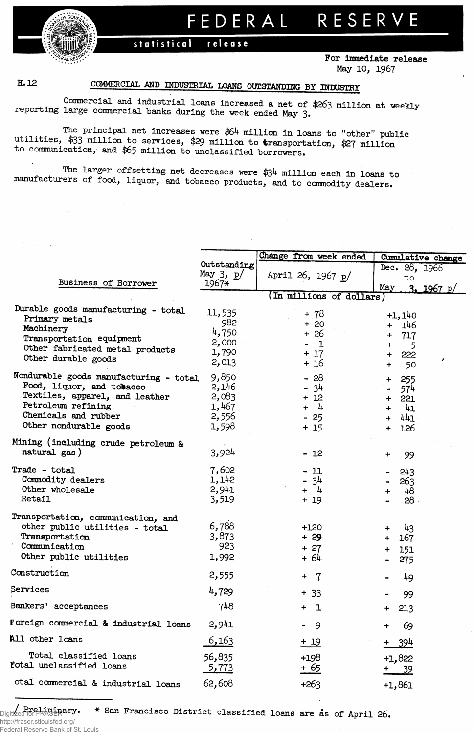RESERVE FEDERAL

## statistical release



For immediate release May 10, 1967

## H.12

## COMMERCIAL AND INDUSTRIAL LOANS OUTSTANDING BY INDUSTRY

Commercial and industrial loans increased a net of \$263 million at weekly reporting large commercial banks during the week ended May 3.

The principal net increases were \$64 million in loans to "other" public utilities, \$33 million to services, \$29 million to transportation, \$27 million to communication, and \$65 million to unclassified borrowers.

The larger offsetting net decreases were \$34 million each in loans to manufacturers of food, liquor, and tobacco products, and to commodity dealers.

|                                        |              | Change from week ended   | Cumulative change     |  |  |  |  |
|----------------------------------------|--------------|--------------------------|-----------------------|--|--|--|--|
|                                        | Outstanding  |                          | Dec. 28, 1966         |  |  |  |  |
|                                        | May $3, p/$  | April 26, 1967 p/        | to                    |  |  |  |  |
| Business of Borrower                   | $1967*$      |                          | May<br>3. 1967 p/     |  |  |  |  |
|                                        |              | (In millions of dollars) |                       |  |  |  |  |
| Durable goods manufacturing - total    |              |                          |                       |  |  |  |  |
| Primary metals                         | 11,535       | + 78                     | $+1,140$              |  |  |  |  |
| Machinery                              | 982          | $+20$                    | + 146                 |  |  |  |  |
| Transportation equipment               | 4,750        | + 26                     | 717<br>$+$            |  |  |  |  |
| Other fabricated metal products        | 2,000        | $\mathbf 1$              | $+$<br>5              |  |  |  |  |
| Other durable goods                    | 1,790        | $+17$                    | <b>222</b><br>$+$     |  |  |  |  |
|                                        | 2,013        | + 16                     | ,<br>$+$<br>50        |  |  |  |  |
| Nondurable goods manufacturing - total | 9,850        | $-28$                    | 255<br>$+$            |  |  |  |  |
| Food, liquor, and tobacco              | 2,146        | $-34$                    | 574<br>$\blacksquare$ |  |  |  |  |
| Textiles, apparel, and leather         | 2,083        | $+12$                    | 221<br>$+$            |  |  |  |  |
| Petroleum refining                     | 1,467        | $+ 4.$                   | 41                    |  |  |  |  |
| Chemicals and rubber                   | 2,556        |                          | $\ddot{}$             |  |  |  |  |
| Other nondurable goods                 | 1,598        | $-25$                    | 441<br>$+$            |  |  |  |  |
|                                        |              | $+15$                    | 126<br>$+$            |  |  |  |  |
| Mining (including crude petroleum &    |              |                          |                       |  |  |  |  |
| natural gas)                           | 3,924        | - 12                     | 99<br>÷               |  |  |  |  |
|                                        |              |                          |                       |  |  |  |  |
| Trade - total                          | 7,602        | - 11                     | 243                   |  |  |  |  |
| Commodity dealers                      | 1,142        | - 34                     | 263                   |  |  |  |  |
| Other wholesale                        | 2,941        | $+ 4$                    | 48<br>$+$             |  |  |  |  |
| Retail                                 | 3,519        | $+19$                    | 28 <sub>1</sub>       |  |  |  |  |
|                                        |              |                          |                       |  |  |  |  |
| Transportation, communication, and     | 6,788        |                          |                       |  |  |  |  |
| other public utilities - total         |              | $+120$                   | 43<br>$+$ .           |  |  |  |  |
| Transportation                         | 3,873        | $+29$                    | 167<br>$\ddot{}$      |  |  |  |  |
| Communication                          | 923          | $+ 27$                   | 151<br>$\ddotmark$    |  |  |  |  |
| Other public utilities                 | 1,992        | $+64$                    | 275                   |  |  |  |  |
| Construction                           | 2,555        | $+ 7$                    |                       |  |  |  |  |
|                                        |              |                          | 49                    |  |  |  |  |
| Services                               | 4,729        | $+33$                    | 99                    |  |  |  |  |
| Bankers' acceptances                   | 748          | $+$ 1                    |                       |  |  |  |  |
|                                        |              |                          | 213<br>$\ddot{}$      |  |  |  |  |
| Foreign commercial & industrial loans  | 2,941        | 9                        | 69                    |  |  |  |  |
| All other loans                        | <u>6,163</u> |                          |                       |  |  |  |  |
|                                        |              | <u>+ 19</u>              | 394<br>$\pm$          |  |  |  |  |
| Total classified loans                 | 56,835       | $+198$                   | $+1,822$              |  |  |  |  |
| Fotal unclassified loans               | <u>5,773</u> | $+65$                    | <u>39</u>             |  |  |  |  |
| otal commercial & industrial loans     | 62,608       |                          |                       |  |  |  |  |
|                                        |              | $+263$                   | $+1,861$              |  |  |  |  |
|                                        |              |                          |                       |  |  |  |  |

\* San Francisco District classified loans are as of April 26. Digitzed for FRASERary.